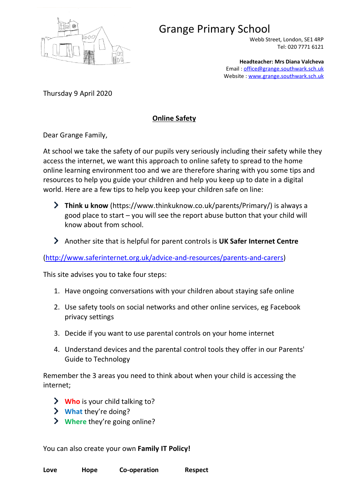

# Grange Primary School

Webb Street, London, SE1 4RP Tel: 020 7771 6121

**Headteacher: Mrs Diana Valcheva** Email : [office@grange.southwark.sch.uk](mailto:office@grange.southwark.sch.uk) Website : [www.grange.southwark.sch.uk](http://www.grange.southwark.sch.uk/)

Thursday 9 April 2020

## **Online Safety**

Dear Grange Family,

At school we take the safety of our pupils very seriously including their safety while they access the internet, we want this approach to online safety to spread to the home online learning environment too and we are therefore sharing with you some tips and resources to help you guide your children and help you keep up to date in a digital world. Here are a few tips to help you keep your children safe on line:

- **Think u know** (https://www.thinkuknow.co.uk/parents/Primary/) is always a good place to start – you will see the report abuse button that your child will know about from school.
- Another site that is helpful for parent controls is **UK Safer Internet Centre**

[\(http://www.saferinternet.org.uk/advice-and-resources/parents-and-carers\)](http://www.saferinternet.org.uk/advice-and-resources/parents-and-carers)

This site advises you to take four steps:

- 1. Have ongoing conversations with your children about staying safe online
- 2. Use safety tools on social networks and other online services, eg Facebook privacy settings
- 3. Decide if you want to use parental controls on your home internet
- 4. Understand devices and the parental control tools they offer in our Parents' Guide to Technology

Remember the 3 areas you need to think about when your child is accessing the internet;

- **Who** is your child talking to?
- **What** they're doing?
- **Where** they're going online?

You can also create your own **Family IT Policy!**